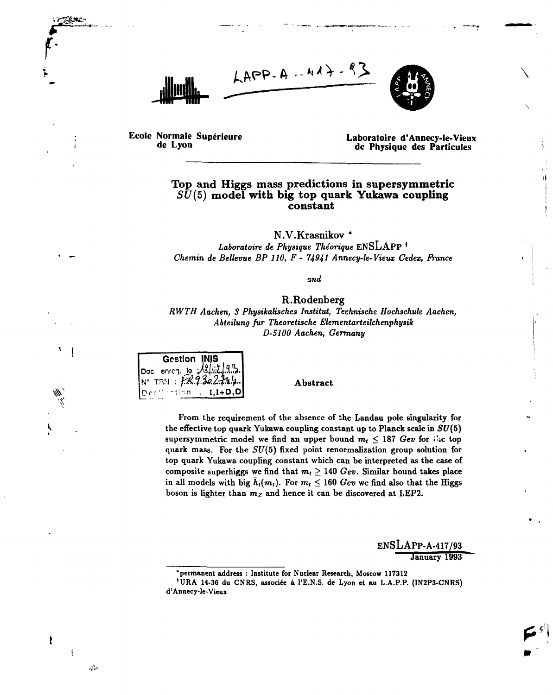



**Ecole Normale Supérieure de Lyon**

**NC**-

Ņ

t

ŧ

 $\omega_{\rm m}$ 

**Laboratoire d'Annecy-le-Vieux de Physique des Particules**

 $\langle \pmb{\cdot} |$ 

## **Top and Higgs mass predictions in supersymmetric** *SU(5)* **model with big top quark Yukawa coupling constant**

**N.V.Krasnikov \***

Laboratoire de Physique Théorique ENSLAPP<sup>+</sup> *Chemin de Bellevue BP 110, F - 74941 Annecy-le-Vieux Cedex, France*

*and*

## R.Rodenberg

*RWTH Aachen, 3 Physikalisches Institut, Technische Hochschule Aachen, Abteilung fur Theoretische Elementarteilchenphysik D-5100 Aachen, Germany*



Abstract

From the requirement of the absence of the Landau pole singularity for the effective top quark Yukawa coupling constant up to Planck scale in  $SU(5)$  ${\tt supersymmetric\,\, model}$  we find an upper bound  $m_t\leq 187$   $Gev$  for  $i$  is top quark mass. For the *SU(5)* fixed point renormalization group solution for top quark Yukawa coupling constant which can be interpreted as the case of composite superhiggs we find that  $m_t \geq 140$   $Gev.$  Similar bound takes place in all models with big  $h_t(m_t)$ . For  $m_t\leq 160$   $Gev$  we find also that the Higgs boson is lighter than *mz* and hence it can be discovered at LEP2.

> ENSLAPP-A-417/93 January 1993

**<sup>&#</sup>x27;permanent address : Institute for Nuclear Research, Moscow 117312**

**<sup>1</sup>URA 14-36 du CNRS, associée à l'E.N.S. de Lyon et au L.A.P.P. (IN2P3-CNRS) d'Annecy-le-Vieux**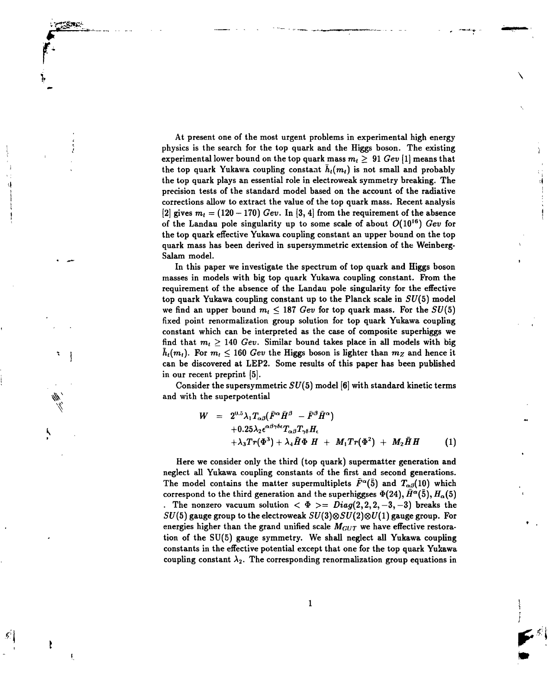At present one of the most urgent problems in experimental high energy physics is the search for the top quark and the Higgs boson. The existing *\* experimental lower bound on the top quark mass  $m_t \geq ~91~Gev~[1]$  means that the top quark Yukawa coupling constant  $\bar{h}_i(m_i)$  is not small and probably the top quark plays an essential role in electroweak symmetry breaking. The precision tests of the standard model based on the account of the radiative ! corrections allow to extract the value of the top quark mass. Recent analysis ; [2] gives  $m_t = (120 - 170)$  *Gev.* In [3, 4] from the requirement of the absence of the Landau pole singularity up to some scale of about  $O(10^{16})$  *Gev* for the top quark effective Yukawa coupling constant an upper bound on the top quark mass has been derived in supersymmetric extension of the Weinberg- Salam model.

**Ir**

ŧ

ŧ

In this paper we investigate the spectrum of top quark and Higgs boson masses in models with big top quark Yukawa coupling constant. From the requirement of the absence of the Landau pole singularity for the effective top quark Yukawa coupling constant up to the Planck scale in  $SU(5)$  model we find an upper bound  $m_t \leq 187$  *Gev* for top quark mass. For the  $SU(5)$ fixed point renormalization group solution for top quark Yukawa coupling constant which can be interpreted as the case of composite superhiggs we find that  $m_t \geq 140$  Gev. Similar bound takes place in all models with big  $\bar{h}_i(m_i)$ . For  $m_i \leq 160$  *Gev* the Higgs boson is lighter than  $m_Z$  and hence it can be discovered at LEP2. Some results of this paper has been published in our recent preprint [5].

Consider the supersymmetric *SU(5)* model [6] with standard kinetic terms and with the superpotential

$$
W = 2^{0.5} \lambda_1 T_{\alpha\beta} (\bar{F}^{\alpha} \bar{H}^{\beta} - \bar{F}^{\beta} \bar{H}^{\alpha})
$$
  
+0.25 $\lambda_2 \epsilon^{\alpha\beta\gamma\delta\epsilon} T_{\alpha\beta} T_{\gamma\delta} H_{\epsilon}$   
+ $\lambda_3 T r (\Phi^3) + \lambda_4 \bar{H} \Phi H + M_1 T r (\Phi^2) + M_2 \bar{H} H$  (1)

Here we consider only the third (top quark) supermatter generation and neglect all Yukawa coupling constants of the first and second generations. The model contains the matter supermultiplets  $\bar{F}^{\alpha}(\bar{5})$  and  $T_{\alpha\beta}(10)$  which correspond to the third generation and the superhiggses  $\Phi(24), \bar{H}^\alpha(\bar{5}), H_\alpha(5)$ . The nonzero vacuum solution  $\langle \Phi \rangle = Diag(2,2,2,-3,-3)$  breaks the  $SU(5)$  gauge group to the electroweak  $SU(3) \otimes SU(2) \otimes U(1)$  gauge group. For energies higher than the grand unified scale  $M_{GUT}$  we have effective restoration of the SU(5) gauge symmetry. We shall neglect all Yukawa coupling constants in the effective potential except that one for the top quark Yukawa coupling constant  $\lambda_2$ . The corresponding renormalization group equations in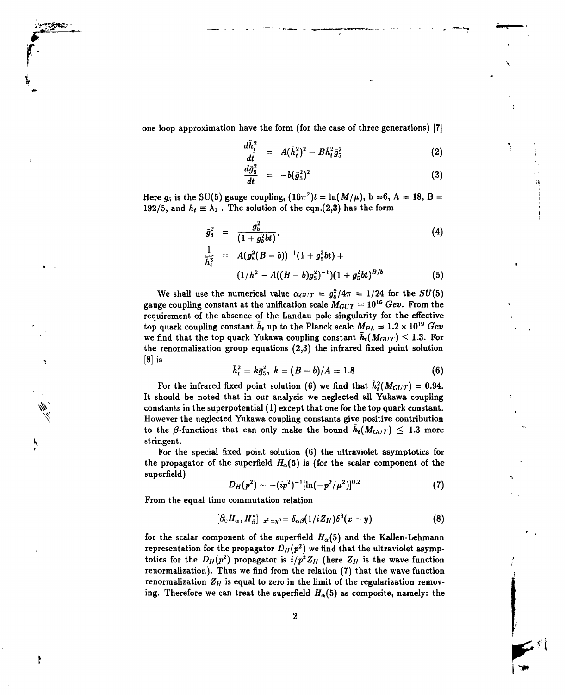one loop approximation have the form (for the case of three generations) [7]

**r**

ł

$$
\frac{d\tilde{h}_t^2}{dt} = A(\tilde{h}_t^2)^2 - B\tilde{h}_t^2 \bar{g}_5^2 \tag{2}
$$

$$
\frac{d\bar{g}_5^2}{dt} = -b(\bar{g}_5^2)^2 \tag{3}
$$

Here  $g_5$  is the SU(5) gauge coupling,  $(16\pi^2)t = \ln(M/\mu)$ , b =6, A = 18, B =  $192/5,$  and  $h_t \equiv \lambda_2$  . The solution of the eqn.(2,3) has the form

$$
\bar{g}_5^2 = \frac{g_5^2}{(1+g_5^2bt)},\tag{4}
$$

$$
\frac{1}{\overline{h}_t^2} = A(g_5^2(B-b))^{-1}(1+g_5^2bt) +
$$
  
\n
$$
(1/h^2 - A((B-b)g_5^2)^{-1})(1+g_5^2bt)^{B/b}
$$
 (5)

We shall use the numerical value  $\alpha_{GUT} = g_5^2/4\pi = 1/24$  for the  $SU(5)$ gauge coupling constant at the unification scale  $M_{GUT} = 10^{16}$  *Gev.* From the requirement of the absence of the Landau pole singularity for the effective top quark coupling constant  $\tilde{h}_t$  up to the Planck scale  $M_{PL} = 1.2 \times 10^{19}$  Gev we find that the top quark Yukawa coupling constant  $\bar{h}_t(M_{GUT}) \leq 1.3$ . For the renormalization group equations (2,3) the infrared fixed point solution  $[8]$  is

$$
\bar{h}_t^2 = k\bar{g}_5^2, k = (B-b)/A = 1.8
$$
 (6)

For the infrared fixed point solution (6) we find that  $h_t^2(M_{GUT})=0.94$ . It should be noted that in our analysis we neglected all Yukawa coupling constants in the superpotential  $(1)$  except that one for the top quark constant. However the neglected Yukawa coupling constants give positive contribution to the  $\beta$ -functions that can only make the bound  $h_t(M_{GUT}) \leq 1.3$  more (*b* stringent.)

' For the special fixed point solution (6) the ultraviolet asymptotics for the propagator of the superfield  $H_{\alpha}(5)$  is (for the scalar component of the superfield)

$$
D_H(p^2) \sim - (ip^2)^{-1} [\ln(-p^2/\mu^2)]^{0.2}
$$
 (7)

From the equal time commutation relation

$$
\left[\partial_0 H_\alpha, H_\beta^*\right]|_{x^0=y^0} = \delta_{\alpha\beta}(1/iZ_H)\delta^3(x-y) \tag{8}
$$

for the scalar component of the superfield *Ha(5)* and the Kallen-Lehmann representation for the propagator  $D_{II}(p^2)$  we find that the ultraviolet asymptotics for the  $D_{II}(p^2)$  propagator is  $i/p^2 Z_{II}$  (here  $Z_{II}$  is the wave function renormalization). Thus we find from the relation (7) that the wave function renormalization  $Z_H$  is equal to zero in the limit of the regularization removing. Therefore we can treat the superfield *Ha(5)* as composite, namely: the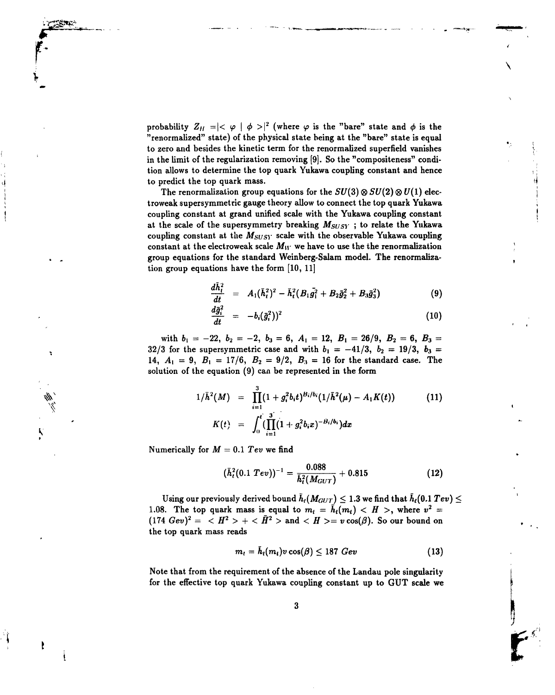probability  $Z_H = \mid <\varphi \mid \phi > \mid^2$  (where  $\varphi$  is the "bare" state and  $\phi$  is the "renormalized" state) of the physical state being at the "bare" state is equal to zero and besides the kinetic term for the renormalized superfield vanishes in the limit of the regularization removing (9). So the "compositeness" condition allows to determine the top quark Yukawa coupling constant and hence to predict the top quark mass.

The renormalization group equations for the  $SU(3) \otimes SU(2) \otimes U(1)$  electroweak supersymmetric gauge theory allow to connect the top quark Yukawa coupling constant at grand unified scale with the Yukawa coupling constant at the scale of the supersymmetry breaking *Msusv* ; to relate the Yukawa coupling constant at the  $M_{SUSY}$  scale with the observable Yukawa coupling constant at the electroweak scale  $M_W$  we have to use the the renormalization group equations for the standard Weinberg-Salam model. The renormalization group equations have the form [10, 11]

$$
\frac{d\bar{h}_t^2}{dt} = A_1(\bar{h}_t^2)^2 - \bar{h}_t^2 (B_1\bar{g}_1^2 + B_2\bar{g}_2^2 + B_3\bar{g}_3^2)
$$
 (9)

$$
\frac{d\bar{g}_i^2}{dt} = -b_i(\bar{g}_i^2))^2 \tag{10}
$$

with  $b_1 = -22$ ,  $b_2 = -2$ ,  $b_3 = 6$ ,  $A_1 = 12$ ,  $B_1 = 26/9$ ,  $B_2 = 6$ ,  $B_3 =$ 32/3 for the supersymmetric case and with  $b_1 = -41/3$ ,  $b_2 = 19/3$ ,  $b_3 =$ 14,  $A_1 = 9$ ,  $B_1 = 17/6$ ,  $B_2 = 9/2$ ,  $B_3 = 16$  for the standard case. The solution of the equation (9) can be represented in the form

$$
1/\bar{h}^{2}(M) = \prod_{i=1}^{3} (1+g_{i}^{2}b_{i}t)^{B_{i}/b_{i}}(1/\bar{h}^{2}(\mu) - A_{1}K(t))
$$
\n
$$
K(t) = \int_{0}^{t} (\prod_{i=1}^{3} (1+g_{i}^{2}b_{i}x)^{-B_{i}/b_{i}}) dx
$$
\n(11)

Numerically for *M* = 0.1 *Tev* we find

**•'! t**

Ķ

$$
(\bar{h}_t^2(0.1~TeV))^{-1} = \frac{0.088}{\bar{h}_t^2(M_{GUT})} + 0.815
$$
 (12)

Using our previously derived bound  $\tilde{h}_t(M_{GUT}) \leq 1.3$  we find that  $\tilde{h}_t(0.1 \text{ Tev}) \leq$ 1.08. The top quark mass is equal to  $m_t = \bar{h}_t(m_t) < H$  >, where  $v^2 =$  $(174\,\,Gev)^2 = \,\, < H^2> + <\bar{H}^2> \,\, {\rm and} \,\, < H> = v\cos(\beta).$  So our bound on the top quark mass reads

$$
m_t = \bar{h}_t(m_t) v \cos(\beta) \leq 187 \; Gev \tag{13}
$$

Note that from the requirement of the absence of the Landau pole singularity for the effective top quark Yukawa coupling constant up to GUT scale we

**<sup>1</sup>** *t*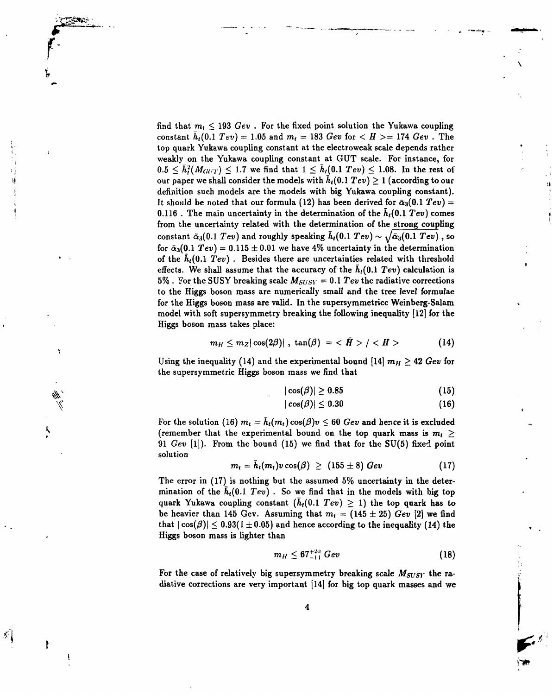find that  $m_t \leq 193 \; Gev$  . For the fixed point solution the Yukawa coupling constant  $h_t(0.1~TeV) = 1.05$  and  $m_t = 183~Gev$  for  $< H > = 174~Gev$  . The top quark Yukawa coupling constant at the electroweak scale depends rather weakly on the Yukawa coupling constant at GUT scale. For instance, for  $0.5 \leq \bar{h}_i^2(M_{GUT}) \leq 1.7$  we find that  $1 \leq h_i(0.1 \text{ Tev}) \leq 1.08$ . In the rest of our paper we shall consider the models with  $h_t(0.1~TeV) \ge 1$  (according to our definition such models are the models with big Yukawa coupling constant). It should be noted that our formula (12) has been derived for  $\bar{\alpha}_3(0.1 \; Tev)$  = 0.116 . The main uncertainty in the determination of the *ht(0.l Tev)* comes from the uncertainty related with the determination of the strong coupling constant  $\tilde{\alpha}_3(0.1 \text{ Tev})$  and roughly speaking  $\tilde{h}_t(0.1 \text{ Tev}) \sim \sqrt{\tilde{\alpha}_3(0.1 \text{ Tev})}$ , so for  $\bar{\alpha}_3(0.1 \text{ Tev}) = 0.115 \pm 0.01$  we have 4% uncertainty in the determination of the *ht(0.l Tev) .* Besides there are uncertainties related with threshold effects. We shall assume that the accuracy of the  $h_t(0.1 \text{ TeV})$  calculation is 5%. For the SUSY breaking scale  $M_{SUSY} = 0.1$  Tev the radiative corrections to the Higgs boson mass are numerically small and the tree level formulae for the Higgs boson mass are valid. In the supersymmetricc Weinberg-Salam model with soft supersymmetry breaking the following inequality [12] for the Higgs boson mass takes place:

**r**

**\**

列

$$
m_H \leq m_Z |\cos(2\beta)| \ , \ \tan(\beta) \ = \ \epsilon \ \tilde{H} \ > \ /\ \  \tag{14}
$$

Using the inequality (14) and the experimental bound [14]  $m_H \geq 42$  Gev for the supersymmetric Higgs boson mass we find that

$$
|\cos(\beta)| \ge 0.85 \tag{15}
$$

$$
|\cos(\beta)| \leq 0.30\tag{16}
$$

For the solution (16)  $m_t = \bar{h}_t(m_t) \cos(\beta)v \leq 60$  Gev and hence it is excluded (remember that the experimental bound on the top quark mass is  $m_t$   $\geq$ 91 *Gev* [I]). From the bound (15) we find that for the SU(5) fixed point solution

$$
m_t = h_t(m_t) v \cos(\beta) \geq (155 \pm 8) \; Gev \qquad (17)
$$

The error in (17) is nothing but the assumed 5% uncertainty in the determination of the  $h_t(0.1 \text{ Tev})$ . So we find that in the models with big top quark Yukawa coupling constant  $(h_t(0.1 \text{ Tev}) \geq 1)$  the top quark has to be heavier than 145 Gev. Assuming that  $m_t = (145 \pm 25)$  Gev [2] we find that  $|\cos(\beta)| \leq 0.93(1 \pm 0.05)$  and hence according to the inequality (14) the Higgs boson mass is lighter than

$$
m_H \leq 67^{+20}_{-11} \; Gev \tag{18}
$$

For the case of relatively big supersymmetry breaking scale  $M_{SUSY}$  the radiative corrections are very important [14] for big top quark masses and we

**<sup>t</sup> t**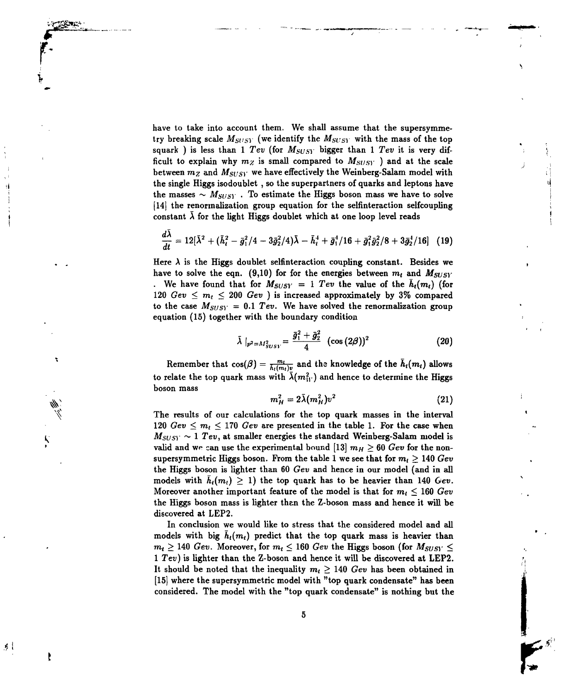have to take into account them. We shall assume that the supersymmetry breaking scale *MSUSY* (we identify the *MSUSY* with the mass of the top squark ) is less than 1  $Tev$  (for  $M_{SUSY}$  bigger than 1  $Tev$  it is very difficult to explain why  $m_Z$  is small compared to  $M_{SUSY}$  ) and at the scale between  $m_Z$  and  $M_{SUSY}$  we have effectively the Weinberg-Salam model with the single Higgs isodoublet , so the superpartners of quarks and leptons have 1 the masses  $\sim$   $M_{SUSY}$ . To estimate the Higgs boson mass we have to solve [14] the renormalization group equation for the selfinteraction selfcoupling constant  $\bar{\lambda}$  for the light Higgs doublet which at one loop level reads

**f'**

t

Ņ

チー

ł

$$
\frac{d\bar{\lambda}}{dt} = 12[\bar{\lambda}^2 + (\bar{h}_t^2 - \bar{g}_1^2/4 - 3\bar{g}_2^2/4)\bar{\lambda} - \bar{h}_t^4 + \bar{g}_1^4/16 + \bar{g}_1^2\bar{g}_2^2/8 + 3\bar{g}_2^4/16]
$$
 (19)

Here  $\lambda$  is the Higgs doublet selfinteraction coupling constant. Besides we have to solve the eqn.  $(9,10)$  for for the energies between  $m_t$  and  $M_{SUSY}$ *i*. We have found that for  $M_{SUSY} = 1$  *Tev* the value of the  $\bar{h}_i(m_i)$  (for 120  $Gev \leq m_l \leq 200$   $Gev$  ) is increased approximately by 3% compared to the case  $M_{SUSY} = 0.1$  Tev. We have solved the renormalization group equation  $(15)$  together with the boundary condition

$$
\bar{\lambda}\mid_{p^2=M_{SUSY}^2}=\frac{\bar{g}_1^2+\bar{g}_2^2}{4}\ (\cos{(2\beta)})^2
$$
 (20)

Remember that  $cos(\beta) = \frac{m_i}{h_i(m_i)v}$  and the knowledge of the  $\bar{h}_i(m_i)$  allows to relate the top quark mass with  $\bar{\lambda}(m_{11}^2)$  and hence to determine the Higgs boson mass

$$
m_H^2 = 2\bar{\lambda}(m_H^2)v^2 \qquad (21)
$$

The results of our calculations for the top quark masses in the interval 120  $Gev \leq m_t \leq 170$   $Gev$  are presented in the table 1. For the case when  $M_{SUSY} \sim 1$  Tev, at smaller energies the standard Weinberg-Salam model is valid and we can use the experimental bound  $[13]$   $m_H \geq 60$  *Gev* for the nonsupersymmetric Higgs boson. From the table 1 we see that for  $m_t > 140$  Gev the Higgs boson is lighter than 60 *Gev* and hence in our model (and in all models with  $\bar{h}_t(m_t) \geq 1$ ) the top quark has to be heavier than 140 *Gev.* Moreover another important feature of the model is that for  $m_t \leq 160 \,\, Gev$ the Higgs boson mass is lighter than the Z-boson mass and hence it will be discovered at LEP2.

In conclusion we would like to stress that the considered model and all models with big  $\bar{h}_t(m_t)$  predict that the top quark mass is heavier than  $m_t \geq 140$   $GeV.$  Moreover, for  $m_t \leq 160$   $GeV$  the Higgs boson (for  $M_{SUSY} \leq$ 1 *Tev)* is lighter than the Z-boson and hence it will be discovered at LEP2. It should be noted that the inequality  $m_l \geq 140$  Gev has been obtained in [15] where the supersymmetric model with "top quark condensate" has been considered. The model with the "top quark condensate" is nothing but the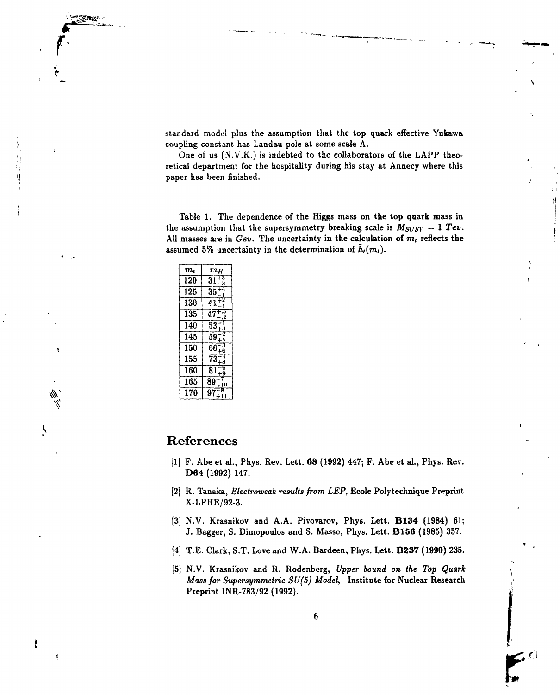standard model plus the assumption that the top quark effective Yukawa coupling constant has Landau pole at some scale  $\Lambda$ .

One of us (N.V.K.) is indebted to the collaborators of the LAPP theoretical department for the hospitality during his stay at Annecy where this paper has been finished.

Table 1. The dependence of the Higgs mass on the top quark mass in the assumption that the supersymmetry breaking scale is  $M_{SUSY} = 1$  Tev. All masses are in  $Gev$ . The uncertainty in the calculation of  $m_t$  reflects the assumed 5% uncertainty in the determination of  $\bar{h}_t(m_t)$ .

| $\bm{m}_l$ | ran     |
|------------|---------|
| 120        | 31      |
| 125        | 35      |
| 130        | 41      |
| 135        | 47      |
| 140        | 53      |
| 145        | 59      |
| 150        | 66      |
| 155        | 73      |
| 160        | 81      |
| 165        | 89<br>Ō |
| 170        | 97      |

## References

- [1] F. Abe et al., Phys. Rev. Lett. 68 (1992) 447; F. Abe et al., Phys. Rev. **D64** (1992) 147.
- **[2]** R. Tanaka, *Electroweak results from LEP,* Ecole Polytechnique Preprint X-LPHE/92-3.
- **[3]** N.V. Krasnikov and A.A. Pivovarov, Phys. Lett. **B134** (1984) 61; J. Bagger, S. Dimopoulos and S. Masso, Phys. Lett. **B156** (1985) 357.
- **[4]** T.E. Clark, S.T. Love and W.A. Bardeen, Phys. Lett. **B237** (1990) 235.
- **[5]** N.V. Krasnikov and R. Rodenberg, *Upper bound on the Top Quark Mass for Supersymmetric SU(5) Model,* Institute for Nuclear Research Preprint INR-783/92 (1992).

the second terms of the second terms of the second terms of the second terms of the second terms of the second terms of the second terms of the second terms of the second terms of the second terms of the second terms of th

ŧ